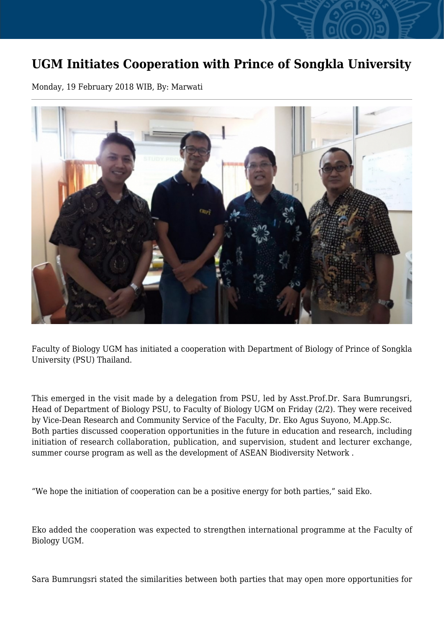## **UGM Initiates Cooperation with Prince of Songkla University**

Monday, 19 February 2018 WIB, By: Marwati



Faculty of Biology UGM has initiated a cooperation with Department of Biology of Prince of Songkla University (PSU) Thailand.

This emerged in the visit made by a delegation from PSU, led by Asst.Prof.Dr. Sara Bumrungsri, Head of Department of Biology PSU, to Faculty of Biology UGM on Friday (2/2). They were received by Vice-Dean Research and Community Service of the Faculty, Dr. Eko Agus Suyono, M.App.Sc. Both parties discussed cooperation opportunities in the future in education and research, including initiation of research collaboration, publication, and supervision, student and lecturer exchange, summer course program as well as the development of ASEAN Biodiversity Network .

"We hope the initiation of cooperation can be a positive energy for both parties," said Eko.

Eko added the cooperation was expected to strengthen international programme at the Faculty of Biology UGM.

Sara Bumrungsri stated the similarities between both parties that may open more opportunities for